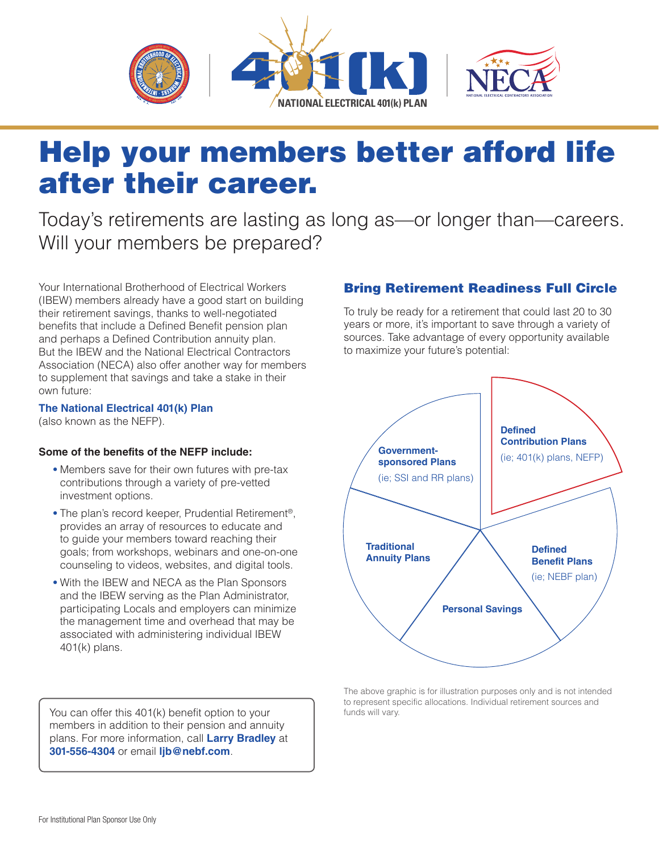

## Help your members better afford life after their career.

Today's retirements are lasting as long as—or longer than—careers. Will your members be prepared?

Your International Brotherhood of Electrical Workers (IBEW) members already have a good start on building their retirement savings, thanks to well-negotiated benefits that include a Defined Benefit pension plan and perhaps a Defined Contribution annuity plan. But the IBEW and the National Electrical Contractors Association (NECA) also offer another way for members to supplement that savings and take a stake in their own future:

## **The National Electrical 401(k) Plan**

(also known as the NEFP).

## **Some of the benefits of the NEFP include:**

- Members save for their own futures with pre-tax contributions through a variety of pre-vetted investment options.
- The plan's record keeper, Prudential Retirement®, provides an array of resources to educate and to guide your members toward reaching their goals; from workshops, webinars and one-on-one counseling to videos, websites, and digital tools.
- With the IBEW and NECA as the Plan Sponsors and the IBEW serving as the Plan Administrator, participating Locals and employers can minimize the management time and overhead that may be associated with administering individual IBEW 401(k) plans.

You can offer this 401(k) benefit option to your members in addition to their pension and annuity plans. For more information, call **Larry Bradley** at **301-556-4304** or email **[ljb@nebf.com](mailto:ljb%40nebf.com?subject=)**.

## Bring Retirement Readiness Full Circle

To truly be ready for a retirement that could last 20 to 30 years or more, it's important to save through a variety of sources. Take advantage of every opportunity available to maximize your future's potential:



The above graphic is for illustration purposes only and is not intended to represent specific allocations. Individual retirement sources and funds will vary.